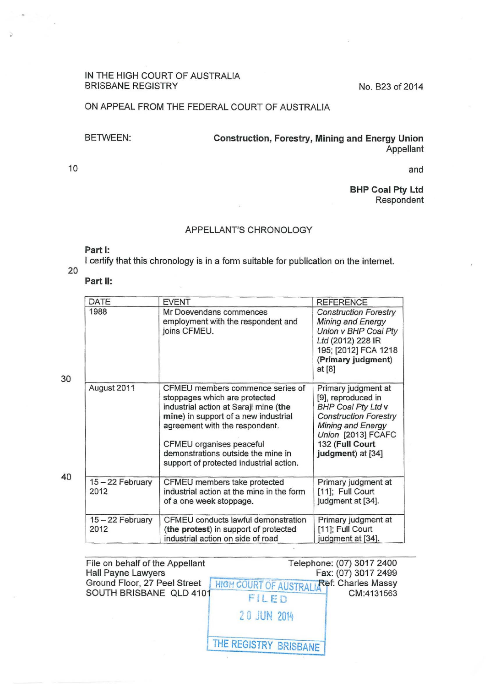### IN THE HIGH COURT OF AUSTRALIA BRISBANE REGISTRY No. B23 of 2014

## ON APPEAL FROM THE FEDERAL COURT OF AUSTRALIA

BETWEEN: Construction, Forestry, Mining and Energy Union Appellant

10

..

and

BHP Coal Pty Ltd Respondent

#### APPELLANT'S CHRONOLOGY

#### Part 1:

I certify that this chronology is in a form suitable for publication on the internet.

# 20

#### Part II:

|    | DATE                     | <b>EVENT</b>                                                                                                                                                                                                                                                                                      | <b>REFERENCE</b>                                                                                                                                                                                 |
|----|--------------------------|---------------------------------------------------------------------------------------------------------------------------------------------------------------------------------------------------------------------------------------------------------------------------------------------------|--------------------------------------------------------------------------------------------------------------------------------------------------------------------------------------------------|
| 30 | 1988                     | Mr Doevendans commences<br>employment with the respondent and<br>joins CFMEU.                                                                                                                                                                                                                     | <b>Construction Forestry</b><br><b>Mining and Energy</b><br>Union v BHP Coal Pty<br>Ltd (2012) 228 IR<br>195; [2012] FCA 1218<br>(Primary judgment)<br>at [8]                                    |
|    | August 2011              | CFMEU members commence series of<br>stoppages which are protected<br>industrial action at Saraji mine (the<br>mine) in support of a new industrial<br>agreement with the respondent.<br>CFMEU organises peaceful<br>demonstrations outside the mine in<br>support of protected industrial action. | Primary judgment at<br>[9], reproduced in<br><b>BHP Coal Pty Ltd v</b><br><b>Construction Forestry</b><br><b>Mining and Energy</b><br>Union [2013] FCAFC<br>132 (Full Court<br>judgment) at [34] |
| 40 | 15 - 22 February<br>2012 | CFMEU members take protected<br>industrial action at the mine in the form<br>of a one week stoppage.                                                                                                                                                                                              | Primary judgment at<br>[11]; Full Court<br>judgment at [34].                                                                                                                                     |
|    | 15-22 February<br>2012   | CFMEU conducts lawful demonstration<br>(the protest) in support of protected<br>industrial action on side of road                                                                                                                                                                                 | Primary judgment at<br>[11]; Full Court<br>judgment at [34].                                                                                                                                     |

| File on behalf of the Appellant<br><b>Hall Payne Lawyers</b> |                                                   | Telephone: (07) 3017 2400<br>Fax: (07) 3017 2499 |
|--------------------------------------------------------------|---------------------------------------------------|--------------------------------------------------|
| Ground Floor, 27 Peel Street                                 | <b>HIGH COURT OF AUSTRALIA Ref: Charles Massy</b> |                                                  |
| SOUTH BRISBANE QLD 4101                                      | FILED                                             | CM:4131563                                       |
|                                                              | 20 JUN 2014                                       |                                                  |
|                                                              | THE REGISTRY BRISBANE                             |                                                  |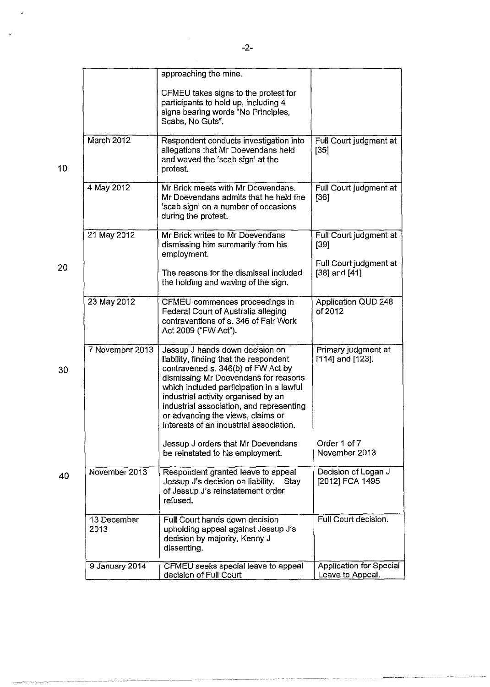|                     | approaching the mine.                                                                                                                                                                                                                                                                                                                                                  |                                              |
|---------------------|------------------------------------------------------------------------------------------------------------------------------------------------------------------------------------------------------------------------------------------------------------------------------------------------------------------------------------------------------------------------|----------------------------------------------|
|                     | CFMEU takes signs to the protest for<br>participants to hold up, including 4<br>signs bearing words "No Principles,<br>Scabs, No Guts".                                                                                                                                                                                                                                |                                              |
| March 2012          | Respondent conducts investigation into<br>allegations that Mr Doevendans held<br>and waved the 'scab sign' at the<br>protest.                                                                                                                                                                                                                                          | Full Court judgment at<br>$[35]$             |
| 4 May 2012          | Mr Brick meets with Mr Doevendans.<br>Mr Doevendans admits that he held the<br>'scab sign' on a number of occasions<br>during the protest.                                                                                                                                                                                                                             | Full Court judgment at<br>$[36]$             |
| 21 May 2012         | Mr Brick writes to Mr Doevendans<br>dismissing him summarily from his<br>employment.                                                                                                                                                                                                                                                                                   | Full Court judgment at<br>[39]               |
|                     | The reasons for the dismissal included<br>the holding and waving of the sign.                                                                                                                                                                                                                                                                                          | Full Court judgment at<br>$[38]$ and $[41]$  |
| 23 May 2012         | CFMEU commences proceedings in<br>Federal Court of Australia alleging<br>contraventions of s. 346 of Fair Work<br>Act 2009 ("FW Act").                                                                                                                                                                                                                                 | Application QUD 248<br>of 2012               |
| 7 November 2013     | Jessup J hands down decision on<br>liability, finding that the respondent<br>contravened s. 346(b) of FW Act by<br>dismissing Mr Doevendans for reasons<br>which included participation in a lawful<br>industrial activity organised by an<br>industrial association, and representing<br>or advancing the views, claims or<br>interests of an industrial association. | Primary judgment at<br>$[114]$ and $[123]$ . |
|                     | Jessup J orders that Mr Doevendans<br>be reinstated to his employment.                                                                                                                                                                                                                                                                                                 | Order 1 of 7<br>November 2013                |
| November 2013       | Respondent granted leave to appeal<br>Jessup J's decision on liability. Stay<br>of Jessup J's reinstatement order<br>refused.                                                                                                                                                                                                                                          | Decision of Logan J<br>[2012] FCA 1495       |
| 13 December<br>2013 | Full Court hands down decision<br>upholding appeal against Jessup J's<br>decision by majority, Kenny J                                                                                                                                                                                                                                                                 | Full Court decision.                         |
|                     | dissenting.                                                                                                                                                                                                                                                                                                                                                            |                                              |

 $\frac{1}{2}$ 

 $\hat{\mathcal{A}}$ 

 $\overline{\nu}$